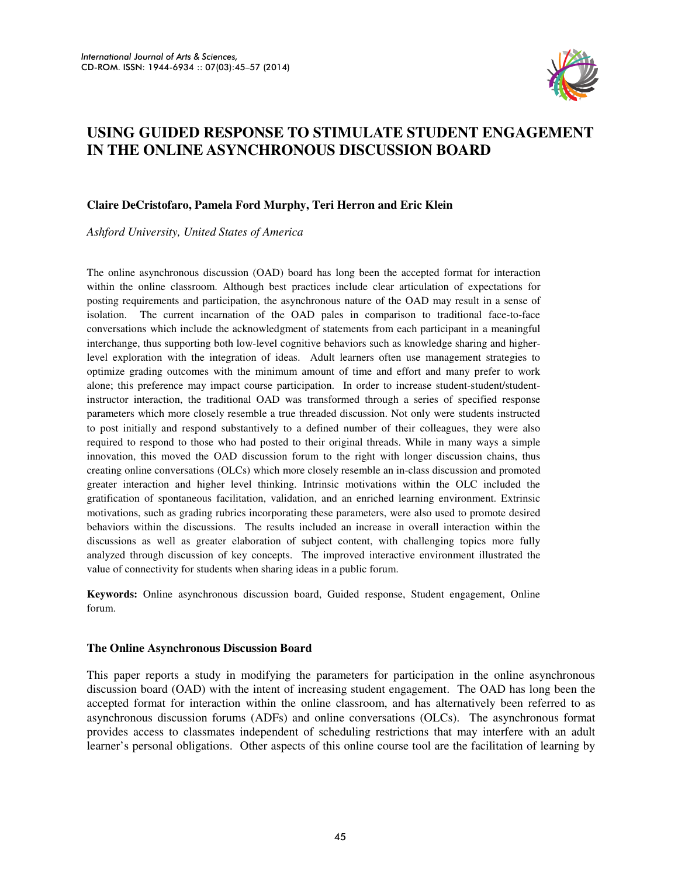

# **USING GUIDED RESPONSE TO STIMULATE STUDENT ENGAGEMENT IN THE ONLINE ASYNCHRONOUS DISCUSSION BOARD**

### **Claire DeCristofaro, Pamela Ford Murphy, Teri Herron and Eric Klein**

*Ashford University, United States of America* 

The online asynchronous discussion (OAD) board has long been the accepted format for interaction within the online classroom. Although best practices include clear articulation of expectations for posting requirements and participation, the asynchronous nature of the OAD may result in a sense of isolation. The current incarnation of the OAD pales in comparison to traditional face-to-face conversations which include the acknowledgment of statements from each participant in a meaningful interchange, thus supporting both low-level cognitive behaviors such as knowledge sharing and higherlevel exploration with the integration of ideas. Adult learners often use management strategies to optimize grading outcomes with the minimum amount of time and effort and many prefer to work alone; this preference may impact course participation. In order to increase student-student/studentinstructor interaction, the traditional OAD was transformed through a series of specified response parameters which more closely resemble a true threaded discussion. Not only were students instructed to post initially and respond substantively to a defined number of their colleagues, they were also required to respond to those who had posted to their original threads. While in many ways a simple innovation, this moved the OAD discussion forum to the right with longer discussion chains, thus creating online conversations (OLCs) which more closely resemble an in-class discussion and promoted greater interaction and higher level thinking. Intrinsic motivations within the OLC included the gratification of spontaneous facilitation, validation, and an enriched learning environment. Extrinsic motivations, such as grading rubrics incorporating these parameters, were also used to promote desired behaviors within the discussions. The results included an increase in overall interaction within the discussions as well as greater elaboration of subject content, with challenging topics more fully analyzed through discussion of key concepts. The improved interactive environment illustrated the value of connectivity for students when sharing ideas in a public forum.

**Keywords:** Online asynchronous discussion board, Guided response, Student engagement, Online forum.

#### **The Online Asynchronous Discussion Board**

This paper reports a study in modifying the parameters for participation in the online asynchronous discussion board (OAD) with the intent of increasing student engagement. The OAD has long been the accepted format for interaction within the online classroom, and has alternatively been referred to as asynchronous discussion forums (ADFs) and online conversations (OLCs). The asynchronous format provides access to classmates independent of scheduling restrictions that may interfere with an adult learner's personal obligations. Other aspects of this online course tool are the facilitation of learning by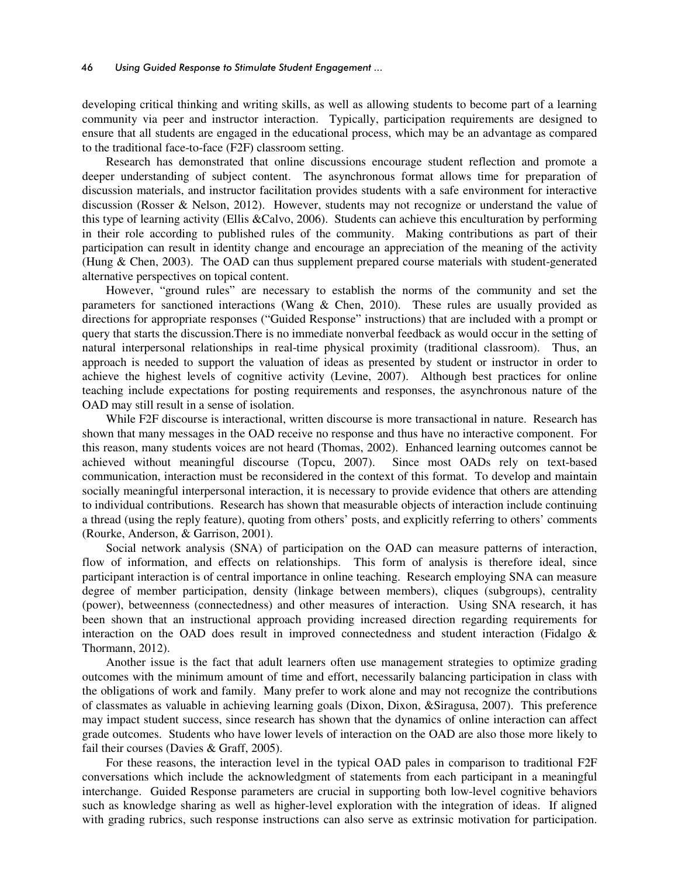developing critical thinking and writing skills, as well as allowing students to become part of a learning community via peer and instructor interaction. Typically, participation requirements are designed to ensure that all students are engaged in the educational process, which may be an advantage as compared to the traditional face-to-face (F2F) classroom setting.

Research has demonstrated that online discussions encourage student reflection and promote a deeper understanding of subject content. The asynchronous format allows time for preparation of discussion materials, and instructor facilitation provides students with a safe environment for interactive discussion (Rosser & Nelson, 2012). However, students may not recognize or understand the value of this type of learning activity (Ellis &Calvo, 2006). Students can achieve this enculturation by performing in their role according to published rules of the community. Making contributions as part of their participation can result in identity change and encourage an appreciation of the meaning of the activity (Hung & Chen, 2003). The OAD can thus supplement prepared course materials with student-generated alternative perspectives on topical content.

However, "ground rules" are necessary to establish the norms of the community and set the parameters for sanctioned interactions (Wang & Chen, 2010). These rules are usually provided as directions for appropriate responses ("Guided Response" instructions) that are included with a prompt or query that starts the discussion.There is no immediate nonverbal feedback as would occur in the setting of natural interpersonal relationships in real-time physical proximity (traditional classroom). Thus, an approach is needed to support the valuation of ideas as presented by student or instructor in order to achieve the highest levels of cognitive activity (Levine, 2007). Although best practices for online teaching include expectations for posting requirements and responses, the asynchronous nature of the OAD may still result in a sense of isolation.

While F2F discourse is interactional, written discourse is more transactional in nature. Research has shown that many messages in the OAD receive no response and thus have no interactive component. For this reason, many students voices are not heard (Thomas, 2002). Enhanced learning outcomes cannot be achieved without meaningful discourse (Topcu, 2007). Since most OADs rely on text-based communication, interaction must be reconsidered in the context of this format. To develop and maintain socially meaningful interpersonal interaction, it is necessary to provide evidence that others are attending to individual contributions. Research has shown that measurable objects of interaction include continuing a thread (using the reply feature), quoting from others' posts, and explicitly referring to others' comments (Rourke, Anderson, & Garrison, 2001).

Social network analysis (SNA) of participation on the OAD can measure patterns of interaction, flow of information, and effects on relationships. This form of analysis is therefore ideal, since participant interaction is of central importance in online teaching. Research employing SNA can measure degree of member participation, density (linkage between members), cliques (subgroups), centrality (power), betweenness (connectedness) and other measures of interaction. Using SNA research, it has been shown that an instructional approach providing increased direction regarding requirements for interaction on the OAD does result in improved connectedness and student interaction (Fidalgo & Thormann, 2012).

Another issue is the fact that adult learners often use management strategies to optimize grading outcomes with the minimum amount of time and effort, necessarily balancing participation in class with the obligations of work and family. Many prefer to work alone and may not recognize the contributions of classmates as valuable in achieving learning goals (Dixon, Dixon, &Siragusa, 2007). This preference may impact student success, since research has shown that the dynamics of online interaction can affect grade outcomes. Students who have lower levels of interaction on the OAD are also those more likely to fail their courses (Davies & Graff, 2005).

For these reasons, the interaction level in the typical OAD pales in comparison to traditional F2F conversations which include the acknowledgment of statements from each participant in a meaningful interchange. Guided Response parameters are crucial in supporting both low-level cognitive behaviors such as knowledge sharing as well as higher-level exploration with the integration of ideas. If aligned with grading rubrics, such response instructions can also serve as extrinsic motivation for participation.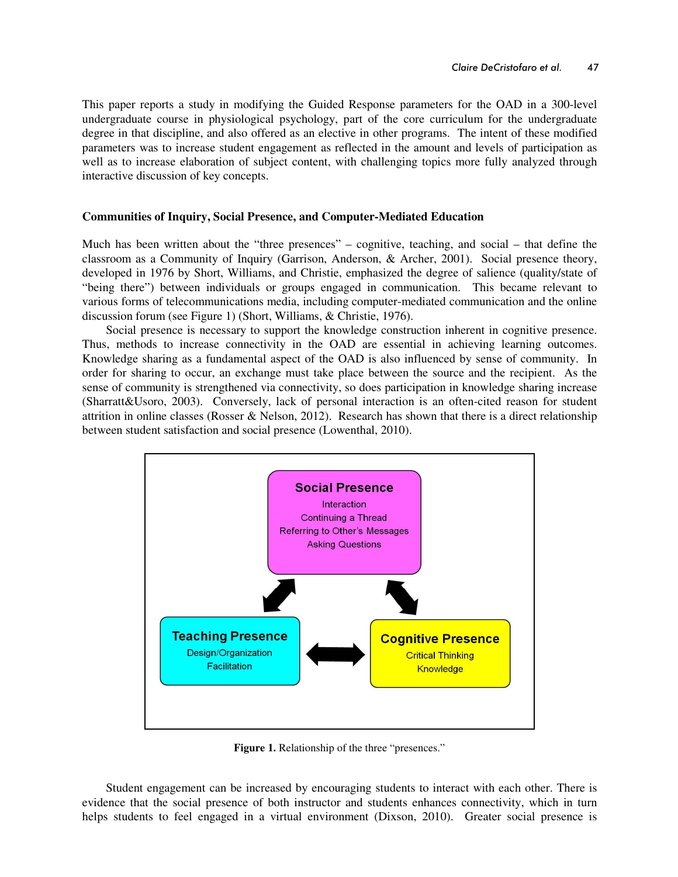This paper reports a study in modifying the Guided Response parameters for the OAD in a 300-level undergraduate course in physiological psychology, part of the core curriculum for the undergraduate degree in that discipline, and also offered as an elective in other programs. The intent of these modified parameters was to increase student engagement as reflected in the amount and levels of participation as well as to increase elaboration of subject content, with challenging topics more fully analyzed through interactive discussion of key concepts.

### **Communities of Inquiry, Social Presence, and Computer-Mediated Education**

Much has been written about the "three presences" – cognitive, teaching, and social – that define the classroom as a Community of Inquiry (Garrison, Anderson, & Archer, 2001). Social presence theory, developed in 1976 by Short, Williams, and Christie, emphasized the degree of salience (quality/state of "being there") between individuals or groups engaged in communication. This became relevant to various forms of telecommunications media, including computer-mediated communication and the online discussion forum (see Figure 1) (Short, Williams, & Christie, 1976).

Social presence is necessary to support the knowledge construction inherent in cognitive presence. Thus, methods to increase connectivity in the OAD are essential in achieving learning outcomes. Knowledge sharing as a fundamental aspect of the OAD is also influenced by sense of community. In order for sharing to occur, an exchange must take place between the source and the recipient. As the sense of community is strengthened via connectivity, so does participation in knowledge sharing increase (Sharratt&Usoro, 2003). Conversely, lack of personal interaction is an often-cited reason for student attrition in online classes (Rosser & Nelson, 2012). Research has shown that there is a direct relationship between student satisfaction and social presence (Lowenthal, 2010).



**Figure 1.** Relationship of the three "presences."

Student engagement can be increased by encouraging students to interact with each other. There is evidence that the social presence of both instructor and students enhances connectivity, which in turn helps students to feel engaged in a virtual environment (Dixson, 2010). Greater social presence is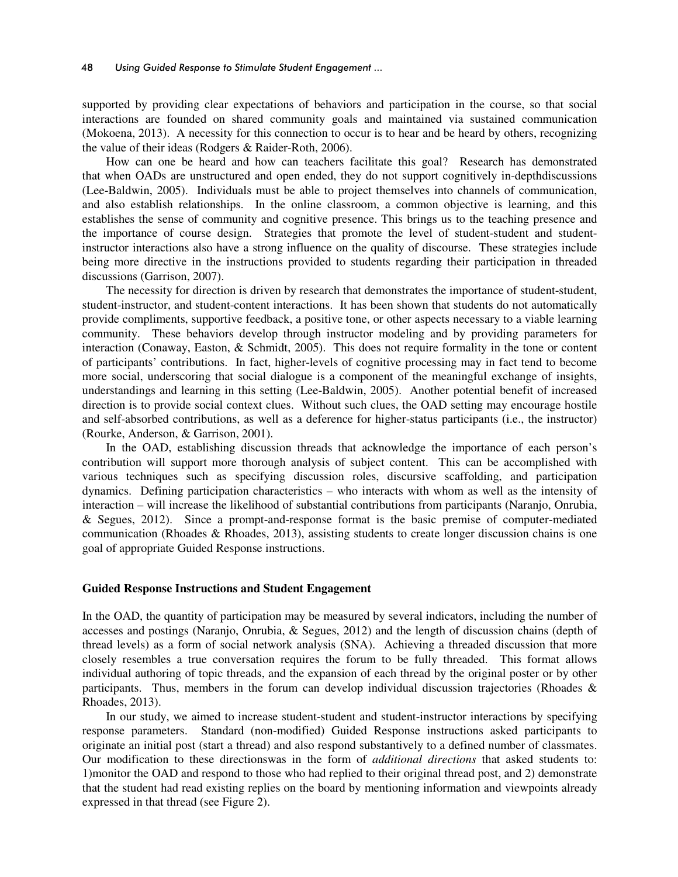supported by providing clear expectations of behaviors and participation in the course, so that social interactions are founded on shared community goals and maintained via sustained communication (Mokoena, 2013). A necessity for this connection to occur is to hear and be heard by others, recognizing the value of their ideas (Rodgers & Raider-Roth, 2006).

How can one be heard and how can teachers facilitate this goal? Research has demonstrated that when OADs are unstructured and open ended, they do not support cognitively in-depthdiscussions (Lee-Baldwin, 2005). Individuals must be able to project themselves into channels of communication, and also establish relationships. In the online classroom, a common objective is learning, and this establishes the sense of community and cognitive presence. This brings us to the teaching presence and the importance of course design. Strategies that promote the level of student-student and studentinstructor interactions also have a strong influence on the quality of discourse. These strategies include being more directive in the instructions provided to students regarding their participation in threaded discussions (Garrison, 2007).

The necessity for direction is driven by research that demonstrates the importance of student-student, student-instructor, and student-content interactions. It has been shown that students do not automatically provide compliments, supportive feedback, a positive tone, or other aspects necessary to a viable learning community. These behaviors develop through instructor modeling and by providing parameters for interaction (Conaway, Easton, & Schmidt, 2005). This does not require formality in the tone or content of participants' contributions. In fact, higher-levels of cognitive processing may in fact tend to become more social, underscoring that social dialogue is a component of the meaningful exchange of insights, understandings and learning in this setting (Lee-Baldwin, 2005). Another potential benefit of increased direction is to provide social context clues. Without such clues, the OAD setting may encourage hostile and self-absorbed contributions, as well as a deference for higher-status participants (i.e., the instructor) (Rourke, Anderson, & Garrison, 2001).

In the OAD, establishing discussion threads that acknowledge the importance of each person's contribution will support more thorough analysis of subject content. This can be accomplished with various techniques such as specifying discussion roles, discursive scaffolding, and participation dynamics. Defining participation characteristics – who interacts with whom as well as the intensity of interaction – will increase the likelihood of substantial contributions from participants (Naranjo, Onrubia, & Segues, 2012). Since a prompt-and-response format is the basic premise of computer-mediated communication (Rhoades & Rhoades, 2013), assisting students to create longer discussion chains is one goal of appropriate Guided Response instructions.

#### **Guided Response Instructions and Student Engagement**

In the OAD, the quantity of participation may be measured by several indicators, including the number of accesses and postings (Naranjo, Onrubia, & Segues, 2012) and the length of discussion chains (depth of thread levels) as a form of social network analysis (SNA). Achieving a threaded discussion that more closely resembles a true conversation requires the forum to be fully threaded. This format allows individual authoring of topic threads, and the expansion of each thread by the original poster or by other participants. Thus, members in the forum can develop individual discussion trajectories (Rhoades & Rhoades, 2013).

In our study, we aimed to increase student-student and student-instructor interactions by specifying response parameters. Standard (non-modified) Guided Response instructions asked participants to originate an initial post (start a thread) and also respond substantively to a defined number of classmates. Our modification to these directionswas in the form of *additional directions* that asked students to: 1)monitor the OAD and respond to those who had replied to their original thread post, and 2) demonstrate that the student had read existing replies on the board by mentioning information and viewpoints already expressed in that thread (see Figure 2).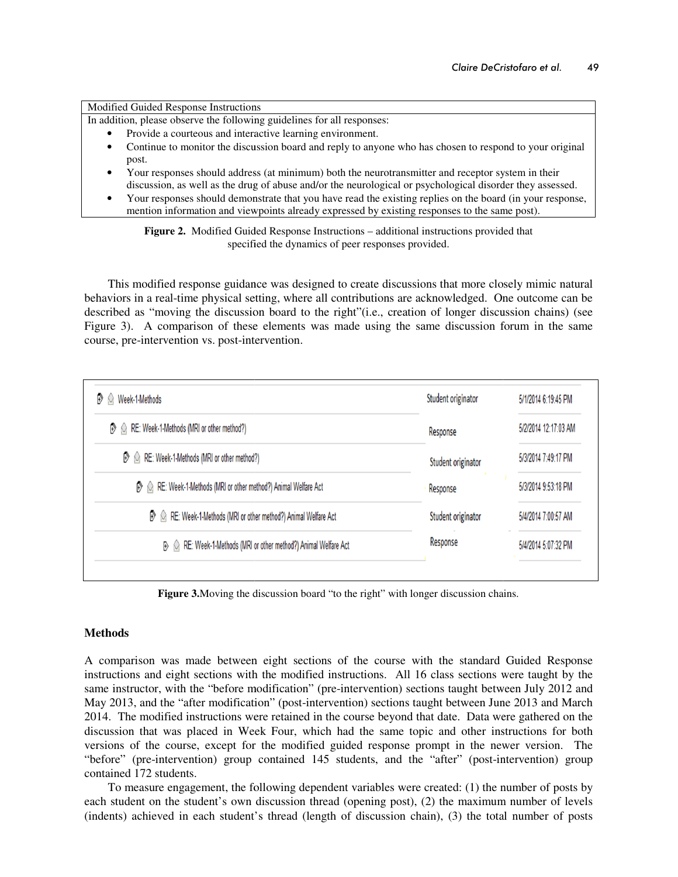Modified Guided Response Instructions

Modified Guided Response Instructions<br>In addition, please observe the following guidelines for all responses:

- Provide a courteous and interactive learning environment.
- Continue to monitor the discussion board and reply to anyone who has chosen to respond to your original post.
- Your responses should address (at minimum) both the neurotransmitter and receptor system in their Your responses should address (at minimum) both the neurotransmitter and receptor system in their discussion, as well as the drug of abuse and/or the neurological or psychological disorder they assessed.
- Your responses should demonstrate that you have read the existing replies on the board (in your response, mention information and viewpoints already expressed by existing responses to the same post).

Figure 2. Modified Guided Response Instructions - additional instructions provided that specified the d specified the dynamics of peer responses provided.

This modified response guidance was designed to create discussions that more closely mimic natural behaviors in a real-time physical setting, where all contributions are acknowledged. One outcome can be This modified response guidance was designed to create discussions that more closely mimic natural behaviors in a real-time physical setting, where all contributions are acknowledged. One outcome can be described as "movin Figure 3). A comparison of these elements was made using the same discussion forum in the same course, pre-intervention vs. post-intervention.

| Week-1-Methods                                                                             | Student originator             | 5/1/2014 6:19:45 PM                                               |
|--------------------------------------------------------------------------------------------|--------------------------------|-------------------------------------------------------------------|
| RE: Week-1-Methods (MRI or other method?)<br>Đ                                             | Response                       | 5/2/2014 12:17:03 AM                                              |
| RE: Week-1-Methods (MRI or other method?)<br>$\mathbb{B}$                                  | Student originator             | 5/3/2014 7:49:17 PM                                               |
| RE: Week-1-Methods (MRI or other method?) Animal Welfare Act<br>$\mathbb{R}$               | Response<br>Student originator | 5/3/2014 9:53:18 PM<br>5/4/2014 7:00:57 AM<br>5/4/2014 5:07:32 PM |
| RE: Week-1-Methods (MRI or other method?) Animal Welfare Act                               |                                |                                                                   |
| RE: Week-1-Methods (MRI or other method?) Animal Welfare Act                               | Response                       |                                                                   |
| <b>Figure 3.</b> Moving the discussion board "to the right" with longer discussion chains. |                                |                                                                   |
|                                                                                            |                                |                                                                   |

### **Methods**

A comparison was made between eight sections of the course with the standard Guided Response instructions and eight sections with the modified instructions. All 16 class sections were taught by the same instructor, with the "before modification" (pre-intervention) sections taught between July 2012 and May 2013, and the "after modification" (post-intervention) sections taught between June 2013 and March 2014. The modified instructions were retained in the course beyond that date. Data were gathered on the discussion that was placed in Week Four, which had the same topic and other instructions for both versions of the course, except for the modified guided response prompt in the newer version. "before" (pre-intervention) group contained 145 students, and the "after" (post-intervention) group contained 172 students.

To measure engagement, the following dependent variables were created: (1) the number of posts by each student on the student's own discussion thread (opening post), (2) the maximum number of levels (indents) achieved in each student's thread (length of discussion chain), (3) the total number of posts ables were created:  $(1)$  i<br>ing post),  $(2)$  the maxin<br>cussion chain),  $(3)$  the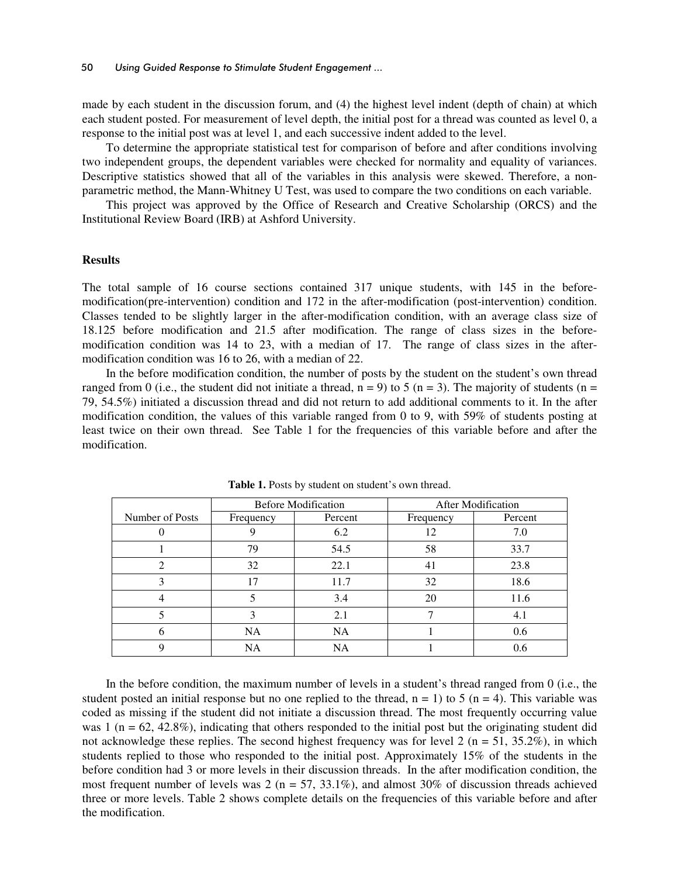made by each student in the discussion forum, and (4) the highest level indent (depth of chain) at which each student posted. For measurement of level depth, the initial post for a thread was counted as level 0, a response to the initial post was at level 1, and each successive indent added to the level.

To determine the appropriate statistical test for comparison of before and after conditions involving two independent groups, the dependent variables were checked for normality and equality of variances. Descriptive statistics showed that all of the variables in this analysis were skewed. Therefore, a nonparametric method, the Mann-Whitney U Test, was used to compare the two conditions on each variable.

This project was approved by the Office of Research and Creative Scholarship (ORCS) and the Institutional Review Board (IRB) at Ashford University.

#### **Results**

The total sample of 16 course sections contained 317 unique students, with 145 in the beforemodification(pre-intervention) condition and 172 in the after-modification (post-intervention) condition. Classes tended to be slightly larger in the after-modification condition, with an average class size of 18.125 before modification and 21.5 after modification. The range of class sizes in the beforemodification condition was 14 to 23, with a median of 17. The range of class sizes in the aftermodification condition was 16 to 26, with a median of 22.

In the before modification condition, the number of posts by the student on the student's own thread ranged from 0 (i.e., the student did not initiate a thread,  $n = 9$ ) to 5 ( $n = 3$ ). The majority of students ( $n =$ 79, 54.5%) initiated a discussion thread and did not return to add additional comments to it. In the after modification condition, the values of this variable ranged from 0 to 9, with 59% of students posting at least twice on their own thread. See Table 1 for the frequencies of this variable before and after the modification.

|                 | <b>Before Modification</b> |           | <b>After Modification</b> |         |
|-----------------|----------------------------|-----------|---------------------------|---------|
| Number of Posts | Frequency                  | Percent   | Frequency                 | Percent |
|                 |                            | 6.2       | 12                        | 7.0     |
|                 | 79                         | 54.5      | 58                        | 33.7    |
|                 | 32                         | 22.1      | 41                        | 23.8    |
|                 |                            | 11.7      | 32                        | 18.6    |
|                 |                            | 3.4       | 20                        | 11.6    |
|                 |                            | 2.1       |                           | 4.1     |
|                 | NA                         | <b>NA</b> |                           | 0.6     |
|                 | NA                         | NA        |                           | 0.6     |

Table 1. Posts by student on student's own thread.

In the before condition, the maximum number of levels in a student's thread ranged from 0 (i.e., the student posted an initial response but no one replied to the thread,  $n = 1$ ) to 5 (n = 4). This variable was coded as missing if the student did not initiate a discussion thread. The most frequently occurring value was 1 ( $n = 62, 42.8\%$ ), indicating that others responded to the initial post but the originating student did not acknowledge these replies. The second highest frequency was for level 2 ( $n = 51, 35.2\%$ ), in which students replied to those who responded to the initial post. Approximately 15% of the students in the before condition had 3 or more levels in their discussion threads. In the after modification condition, the most frequent number of levels was 2 ( $n = 57, 33.1\%$ ), and almost 30% of discussion threads achieved three or more levels. Table 2 shows complete details on the frequencies of this variable before and after the modification.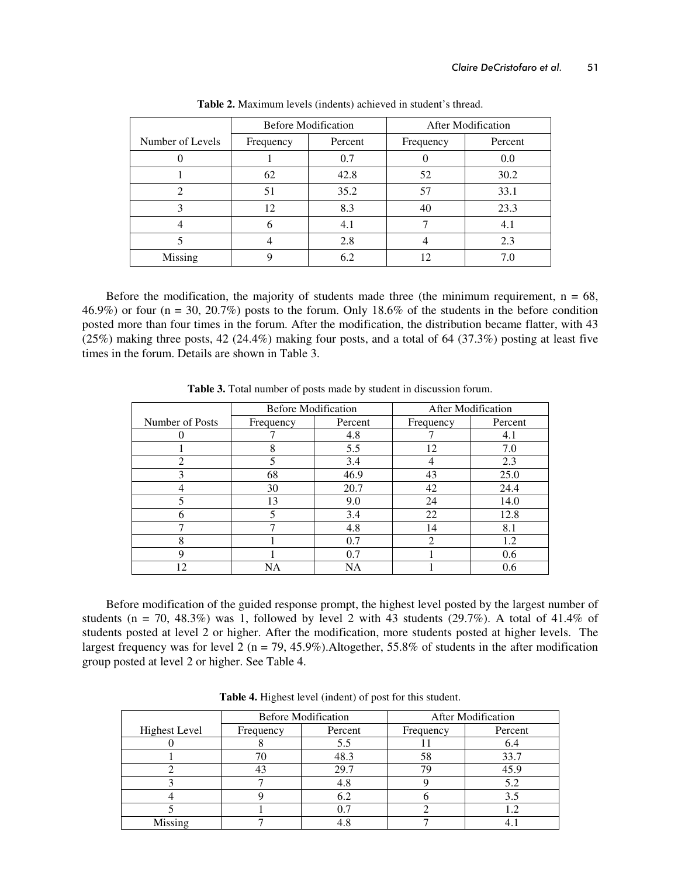|                  | <b>Before Modification</b> |         | After Modification |         |
|------------------|----------------------------|---------|--------------------|---------|
| Number of Levels | Frequency                  | Percent | Frequency          | Percent |
|                  |                            | 0.7     |                    | 0.0     |
|                  | 62                         | 42.8    | 52                 | 30.2    |
| $\mathfrak{D}$   | 51                         | 35.2    | 57                 | 33.1    |
| 3                | 12                         | 8.3     | 40                 | 23.3    |
|                  | h                          | 4.1     |                    |         |
|                  |                            | 2.8     |                    | 2.3     |
| Missing          |                            | 6.2     |                    |         |

**Table 2.** Maximum levels (indents) achieved in student's thread.

Before the modification, the majority of students made three (the minimum requirement,  $n = 68$ , 46.9%) or four (n = 30, 20.7%) posts to the forum. Only 18.6% of the students in the before condition posted more than four times in the forum. After the modification, the distribution became flatter, with 43 (25%) making three posts, 42 (24.4%) making four posts, and a total of 64 (37.3%) posting at least five times in the forum. Details are shown in Table 3.

|                 | <b>Before Modification</b> |         | <b>After Modification</b> |         |
|-----------------|----------------------------|---------|---------------------------|---------|
| Number of Posts | Frequency                  | Percent | Frequency                 | Percent |
|                 |                            | 4.8     |                           | 4.1     |
|                 | 8                          | 5.5     | 12                        | 7.0     |
| ◠               |                            | 3.4     | 4                         | 2.3     |
| 3               | 68                         | 46.9    | 43                        | 25.0    |
|                 | 30                         | 20.7    | 42                        | 24.4    |
| 5               | 13                         | 9.0     | 24                        | 14.0    |
|                 | 5                          | 3.4     | 22                        | 12.8    |
|                 | 7                          | 4.8     | 14                        | 8.1     |
| 8               |                            | 0.7     | 2                         | 1.2     |
| q               |                            | 0.7     |                           | 0.6     |
| 12              | <b>NA</b>                  | NA      |                           | 0.6     |

**Table 3.** Total number of posts made by student in discussion forum.

Before modification of the guided response prompt, the highest level posted by the largest number of students ( $n = 70$ , 48.3%) was 1, followed by level 2 with 43 students (29.7%). A total of 41.4% of students posted at level 2 or higher. After the modification, more students posted at higher levels. The largest frequency was for level 2 ( $n = 79, 45.9\%$ ). Altogether, 55.8% of students in the after modification group posted at level 2 or higher. See Table 4.

|                      | <b>Before Modification</b> |         | <b>After Modification</b> |         |
|----------------------|----------------------------|---------|---------------------------|---------|
| <b>Highest Level</b> | Frequency                  | Percent | Frequency                 | Percent |
|                      |                            | 5.5     |                           | 6.4     |
|                      |                            | 48.3    | 58                        | 33.7    |
|                      |                            | 29.7    | 79                        | 45.9    |
|                      |                            | 4.8     |                           | 5.2     |
|                      |                            | 6.2     |                           | 3.5     |
|                      |                            |         |                           |         |
| Missing              |                            |         |                           |         |

**Table 4.** Highest level (indent) of post for this student.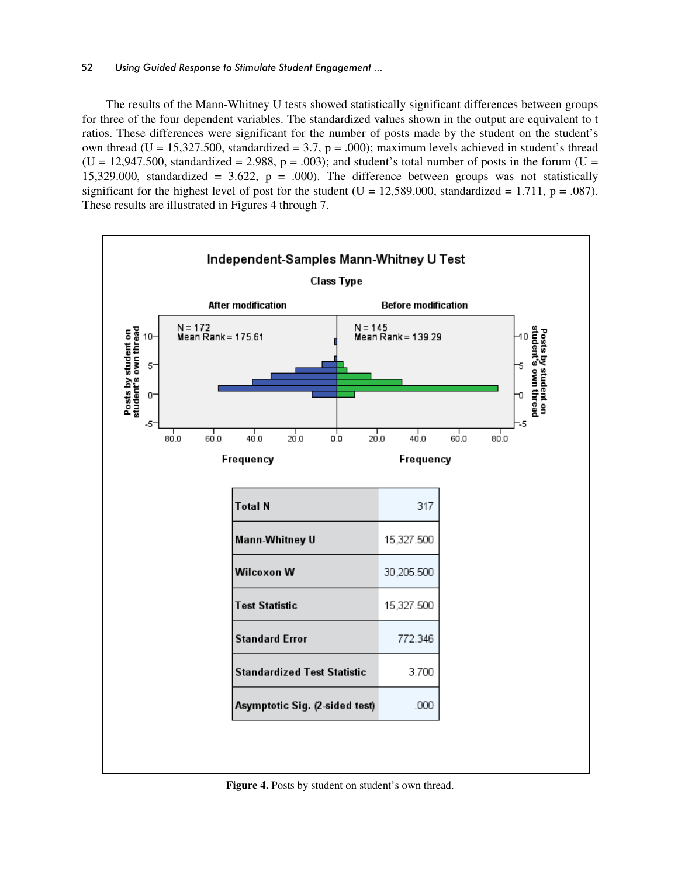#### 52 *Using Guided Response to Stimulate Student Engagement ...*

The results of the Mann-Whitney U tests showed statistically significant differences between groups for three of the four dependent variables. The standardized values shown in the output are equivalent to t ratios. These differences were significant for the number of posts made by the student on the student's own thread (U = 15,327.500, standardized = 3.7,  $p = .000$ ); maximum levels achieved in student's thread  $(U = 12,947.500,$  standardized = 2.988, p = .003); and student's total number of posts in the forum  $(U = 12,947.500)$ 15,329.000, standardized = 3.622,  $p = .000$ ). The difference between groups was not statistically significant for the highest level of post for the student ( $U = 12,589.000$ , standardized = 1.711, p = .087). These results are illustrated in Figures 4 through 7.



Figure 4. Posts by student on student's own thread.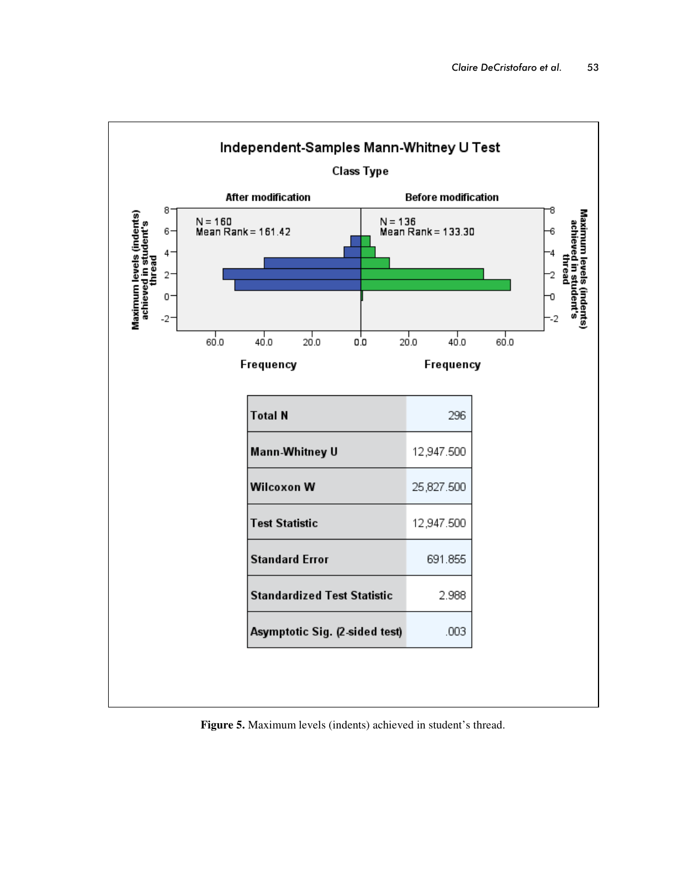

**Figure 5.** Maximum levels (indents) achieved in student's thread.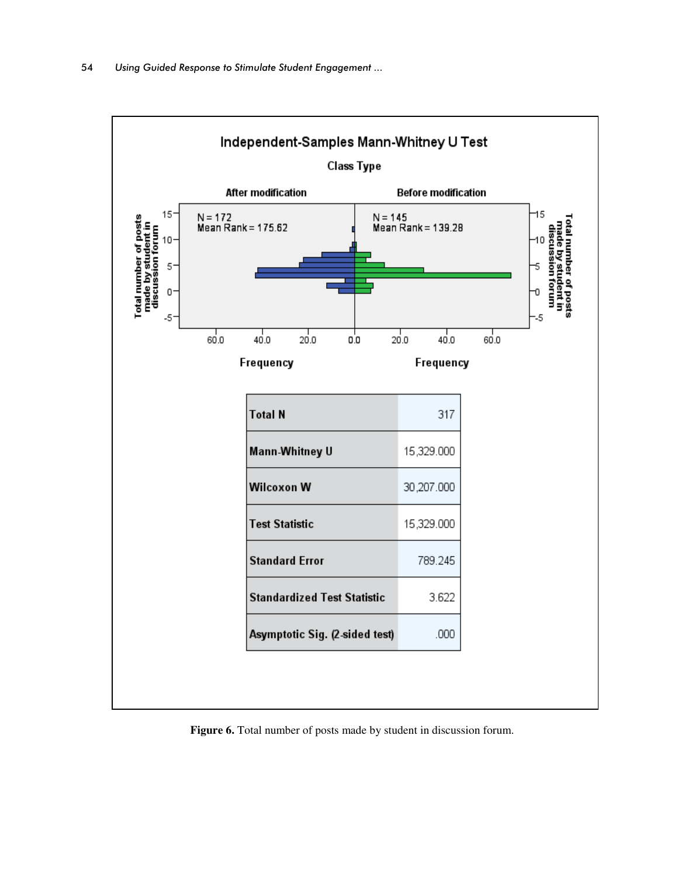

**Figure 6.** Total number of posts made by student in discussion forum.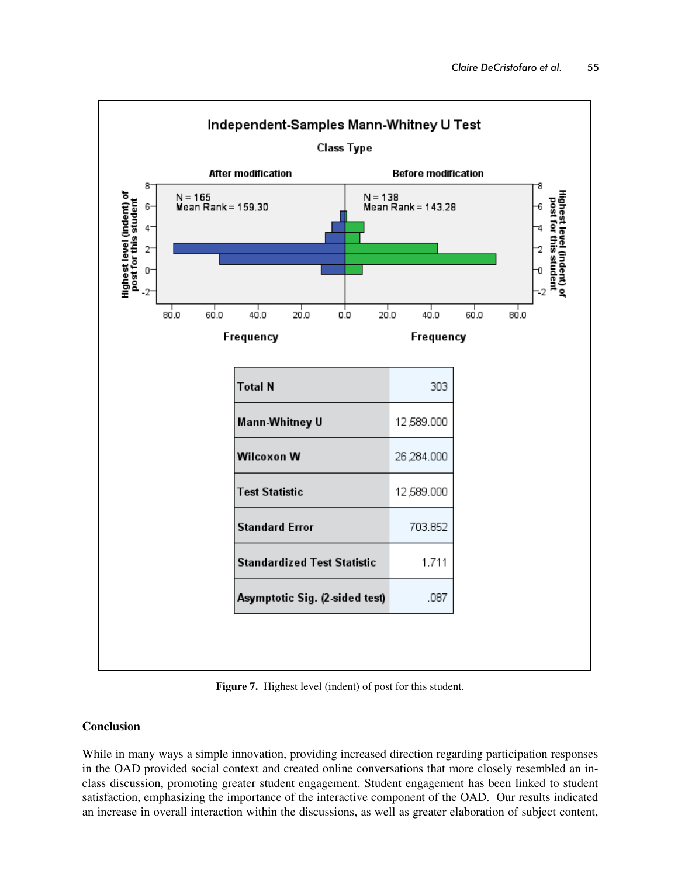

Figure 7. Highest level (indent) of post for this student.

## **Conclusion**

While in many ways a simple innovation, providing increased direction regarding participation responses in the OAD provided social context and created online conversations that more closely resembled an inclass discussion, promoting greater student engagement. Student engagement has been linked to student satisfaction, emphasizing the importance of the interactive component of the OAD. Our results indicated an increase in overall interaction within the discussions, as well as greater elaboration of subject content,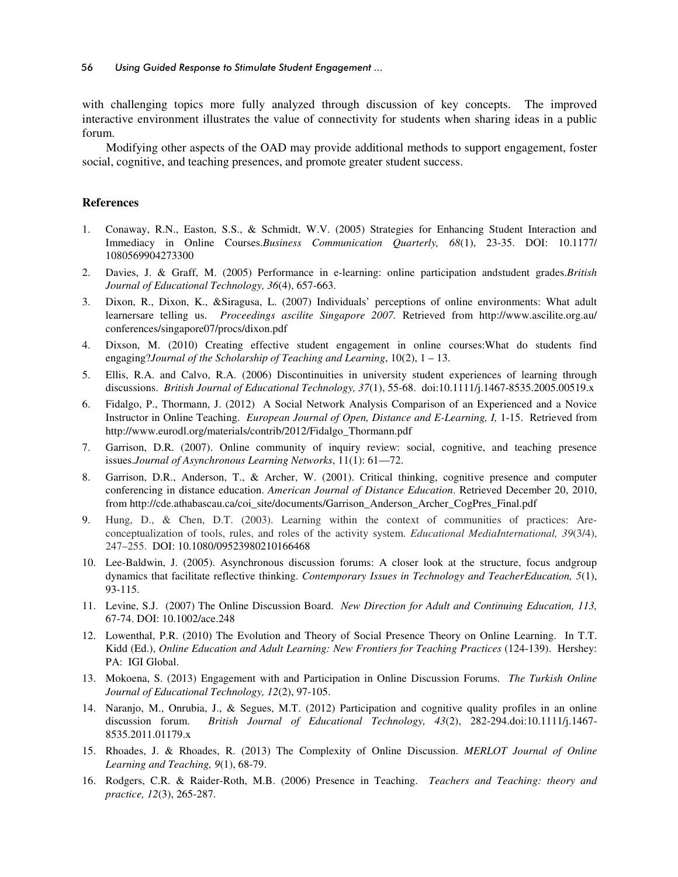with challenging topics more fully analyzed through discussion of key concepts. The improved interactive environment illustrates the value of connectivity for students when sharing ideas in a public forum.

Modifying other aspects of the OAD may provide additional methods to support engagement, foster social, cognitive, and teaching presences, and promote greater student success.

### **References**

- 1. Conaway, R.N., Easton, S.S., & Schmidt, W.V. (2005) Strategies for Enhancing Student Interaction and Immediacy in Online Courses.*Business Communication Quarterly, 68*(1), 23-35. DOI: 10.1177/ 1080569904273300
- 2. Davies, J. & Graff, M. (2005) Performance in e-learning: online participation andstudent grades.*British Journal of Educational Technology, 36*(4), 657-663.
- 3. Dixon, R., Dixon, K., &Siragusa, L. (2007) Individuals' perceptions of online environments: What adult learnersare telling us. *Proceedings ascilite Singapore 2007.* Retrieved from http://www.ascilite.org.au/ conferences/singapore07/procs/dixon.pdf
- 4. Dixson, M. (2010) Creating effective student engagement in online courses:What do students find engaging?*Journal of the Scholarship of Teaching and Learning*, 10(2), 1 – 13.
- 5. Ellis, R.A. and Calvo, R.A. (2006) Discontinuities in university student experiences of learning through discussions. *British Journal of Educational Technology, 37*(1), 55-68. doi:10.1111/j.1467-8535.2005.00519.x
- 6. Fidalgo, P., Thormann, J. (2012) A Social Network Analysis Comparison of an Experienced and a Novice Instructor in Online Teaching. *European Journal of Open, Distance and E-Learning, I,* 1-15. Retrieved from http://www.eurodl.org/materials/contrib/2012/Fidalgo\_Thormann.pdf
- 7. Garrison, D.R. (2007). Online community of inquiry review: social, cognitive, and teaching presence issues.*Journal of Asynchronous Learning Networks*, 11(1): 61—72.
- 8. Garrison, D.R., Anderson, T., & Archer, W. (2001). Critical thinking, cognitive presence and computer conferencing in distance education. *American Journal of Distance Education*. Retrieved December 20, 2010, from http://cde.athabascau.ca/coi\_site/documents/Garrison\_Anderson\_Archer\_CogPres\_Final.pdf
- 9. Hung, D., & Chen, D.T. (2003). Learning within the context of communities of practices: Areconceptualization of tools, rules, and roles of the activity system. *Educational MediaInternational, 39*(3/4), 247–255. DOI: 10.1080/09523980210166468
- 10. Lee-Baldwin, J. (2005). Asynchronous discussion forums: A closer look at the structure, focus andgroup dynamics that facilitate reflective thinking. *Contemporary Issues in Technology and TeacherEducation, 5*(1), 93-115.
- 11. Levine, S.J. (2007) The Online Discussion Board. *New Direction for Adult and Continuing Education, 113,* 67-74. DOI: 10.1002/ace.248
- 12. Lowenthal, P.R. (2010) The Evolution and Theory of Social Presence Theory on Online Learning. In T.T. Kidd (Ed.), *Online Education and Adult Learning: New Frontiers for Teaching Practices* (124-139). Hershey: PA: IGI Global.
- 13. Mokoena, S. (2013) Engagement with and Participation in Online Discussion Forums. *The Turkish Online Journal of Educational Technology, 12*(2), 97-105.
- 14. Naranjo, M., Onrubia, J., & Segues, M.T. (2012) Participation and cognitive quality profiles in an online discussion forum. *British Journal of Educational Technology, 43*(2), 282-294.doi:10.1111/j.1467- 8535.2011.01179.x
- 15. Rhoades, J. & Rhoades, R. (2013) The Complexity of Online Discussion. *MERLOT Journal of Online Learning and Teaching, 9*(1), 68-79.
- 16. Rodgers, C.R. & Raider-Roth, M.B. (2006) Presence in Teaching. *Teachers and Teaching: theory and practice, 12*(3), 265-287.